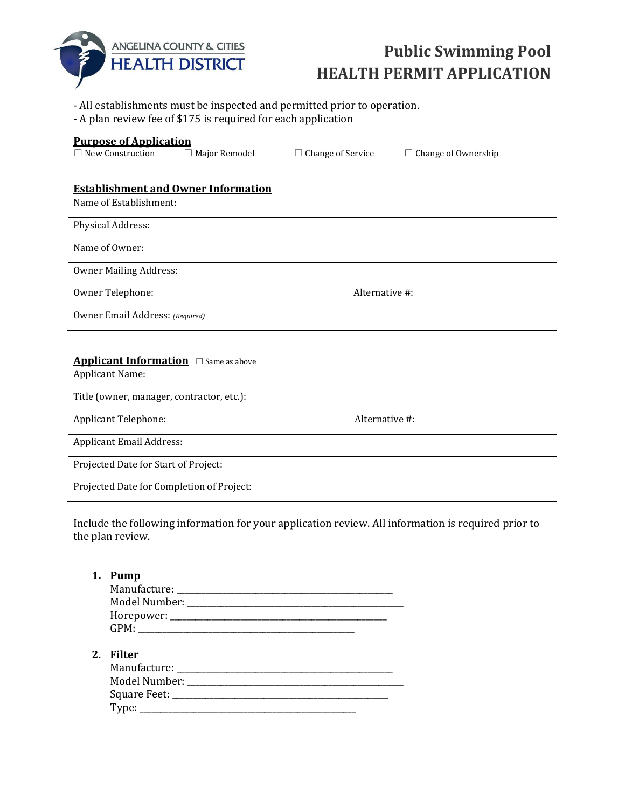

## **Public Swimming Pool HEALTH PERMIT APPLICATION**

- All establishments must be inspected and permitted prior to operation.
- A plan review fee of \$175 is required for each application

## **Purpose of Application**

☐ New Construction ☐ Major Remodel ☐ Change of Service ☐ Change of Ownership

## **Establishment and Owner Information**

Name of Establishment:

Physical Address:

Name of Owner:

Owner Mailing Address:

Owner Telephone: Alternative #:

Owner Email Address: *(Required)*

## **Applicant Information** □ Same as above

Applicant Name:

Title (owner, manager, contractor, etc.):

Applicant Telephone:  $\blacksquare$ 

Applicant Email Address:

Projected Date for Start of Project:

Projected Date for Completion of Project:

Type: \_\_\_\_\_\_\_\_\_\_\_\_\_\_\_\_\_\_\_\_\_\_\_\_\_\_\_\_\_\_\_\_\_\_\_\_\_\_\_\_\_\_\_\_\_\_\_\_\_\_\_\_

Include the following information for your application review. All information is required prior to the plan review.

| Pump                                             |
|--------------------------------------------------|
|                                                  |
|                                                  |
|                                                  |
|                                                  |
|                                                  |
| 2. Filter                                        |
|                                                  |
| Model Number: National Assembly Model Number:    |
| Square Feet: National Action of the Square Feet: |